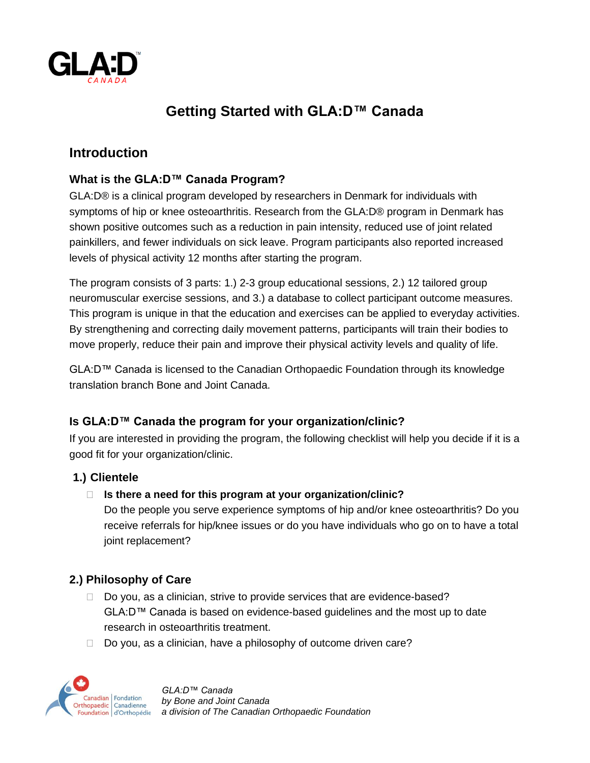

# **Getting Started with GLA:D™ Canada**

## **Introduction**

## **What is the GLA:D™ Canada Program?**

GLA:D® is a clinical program developed by researchers in Denmark for individuals with symptoms of hip or knee osteoarthritis. Research from the GLA:D® program in Denmark has shown positive outcomes such as a reduction in pain intensity, reduced use of joint related painkillers, and fewer individuals on sick leave. Program participants also reported increased levels of physical activity 12 months after starting the program.

The program consists of 3 parts: 1.) 2-3 group educational sessions, 2.) 12 tailored group neuromuscular exercise sessions, and 3.) a database to collect participant outcome measures. This program is unique in that the education and exercises can be applied to everyday activities. By strengthening and correcting daily movement patterns, participants will train their bodies to move properly, reduce their pain and improve their physical activity levels and quality of life.

GLA:D™ Canada is licensed to the Canadian Orthopaedic Foundation through its knowledge translation branch Bone and Joint Canada.

## **Is GLA:D™ Canada the program for your organization/clinic?**

If you are interested in providing the program, the following checklist will help you decide if it is a good fit for your organization/clinic.

## **1.) Clientele**

**Is there a need for this program at your organization/clinic?**

Do the people you serve experience symptoms of hip and/or knee osteoarthritis? Do you receive referrals for hip/knee issues or do you have individuals who go on to have a total joint replacement?

## **2.) Philosophy of Care**

- $\Box$  Do you, as a clinician, strive to provide services that are evidence-based? GLA:D™ Canada is based on evidence-based guidelines and the most up to date research in osteoarthritis treatment.
- $\Box$  Do you, as a clinician, have a philosophy of outcome driven care?



*GLA:D™ Canada by Bone and Joint Canada a division of The Canadian Orthopaedic Foundation*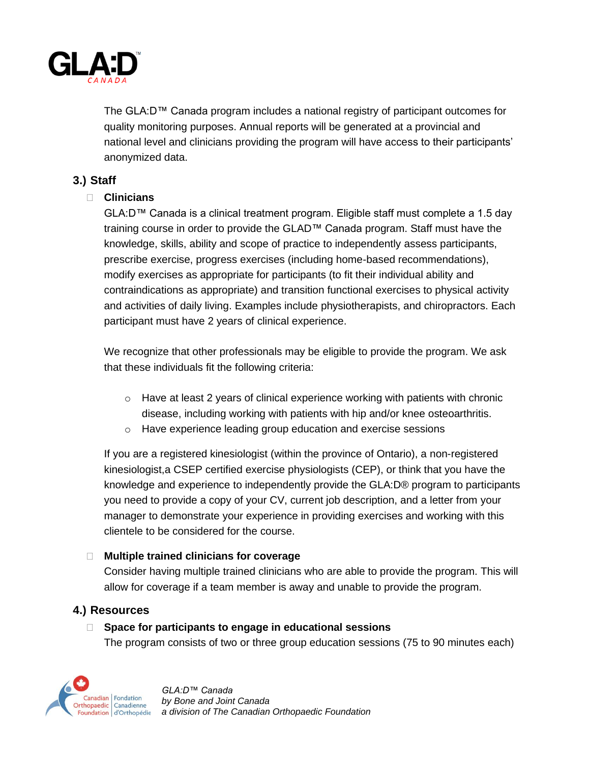

The GLA:D™ Canada program includes a national registry of participant outcomes for quality monitoring purposes. Annual reports will be generated at a provincial and national level and clinicians providing the program will have access to their participants' anonymized data.

## **3.) Staff**

#### **Clinicians**

 $GLA: D^{\pi M}$  Canada is a clinical treatment program. Eligible staff must complete a 1.5 day training course in order to provide the GLAD™ Canada program. Staff must have the knowledge, skills, ability and scope of practice to independently assess participants, prescribe exercise, progress exercises (including home-based recommendations), modify exercises as appropriate for participants (to fit their individual ability and contraindications as appropriate) and transition functional exercises to physical activity and activities of daily living. Examples include physiotherapists, and chiropractors. Each participant must have 2 years of clinical experience.

We recognize that other professionals may be eligible to provide the program. We ask that these individuals fit the following criteria:

- $\circ$  Have at least 2 years of clinical experience working with patients with chronic disease, including working with patients with hip and/or knee osteoarthritis.
- o Have experience leading group education and exercise sessions

If you are a registered kinesiologist (within the province of Ontario), a non-registered kinesiologist,a CSEP certified exercise physiologists (CEP), or think that you have the knowledge and experience to independently provide the GLA:D® program to participants you need to provide a copy of your CV, current job description, and a letter from your manager to demonstrate your experience in providing exercises and working with this clientele to be considered for the course.

#### **Multiple trained clinicians for coverage**

Consider having multiple trained clinicians who are able to provide the program. This will allow for coverage if a team member is away and unable to provide the program.

## **4.) Resources**

#### **Space for participants to engage in educational sessions**

The program consists of two or three group education sessions (75 to 90 minutes each)



*GLA:D™ Canada by Bone and Joint Canada a division of The Canadian Orthopaedic Foundation*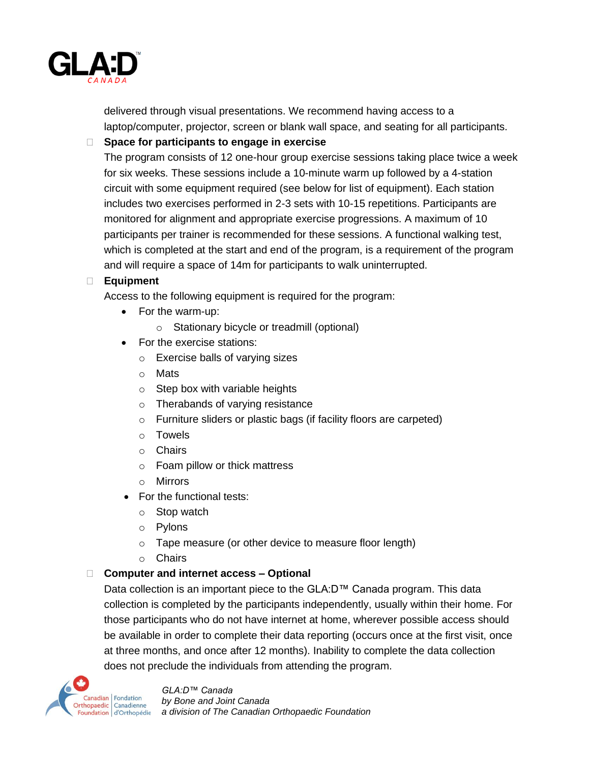

delivered through visual presentations. We recommend having access to a laptop/computer, projector, screen or blank wall space, and seating for all participants.

#### **Space for participants to engage in exercise**

The program consists of 12 one-hour group exercise sessions taking place twice a week for six weeks. These sessions include a 10-minute warm up followed by a 4-station circuit with some equipment required (see below for list of equipment). Each station includes two exercises performed in 2-3 sets with 10-15 repetitions. Participants are monitored for alignment and appropriate exercise progressions. A maximum of 10 participants per trainer is recommended for these sessions. A functional walking test, which is completed at the start and end of the program, is a requirement of the program and will require a space of 14m for participants to walk uninterrupted.

#### **Equipment**

Access to the following equipment is required for the program:

- For the warm-up:
	- o Stationary bicycle or treadmill (optional)
- For the exercise stations:
	- o Exercise balls of varying sizes
	- o Mats
	- $\circ$  Step box with variable heights
	- o Therabands of varying resistance
	- o Furniture sliders or plastic bags (if facility floors are carpeted)
	- o Towels
	- o Chairs
	- o Foam pillow or thick mattress
	- o Mirrors
- For the functional tests:
	- o Stop watch
	- o Pylons
	- o Tape measure (or other device to measure floor length)
	- o Chairs

#### **Computer and internet access – Optional**

Data collection is an important piece to the GLA:D™ Canada program. This data collection is completed by the participants independently, usually within their home. For those participants who do not have internet at home, wherever possible access should be available in order to complete their data reporting (occurs once at the first visit, once at three months, and once after 12 months). Inability to complete the data collection does not preclude the individuals from attending the program.

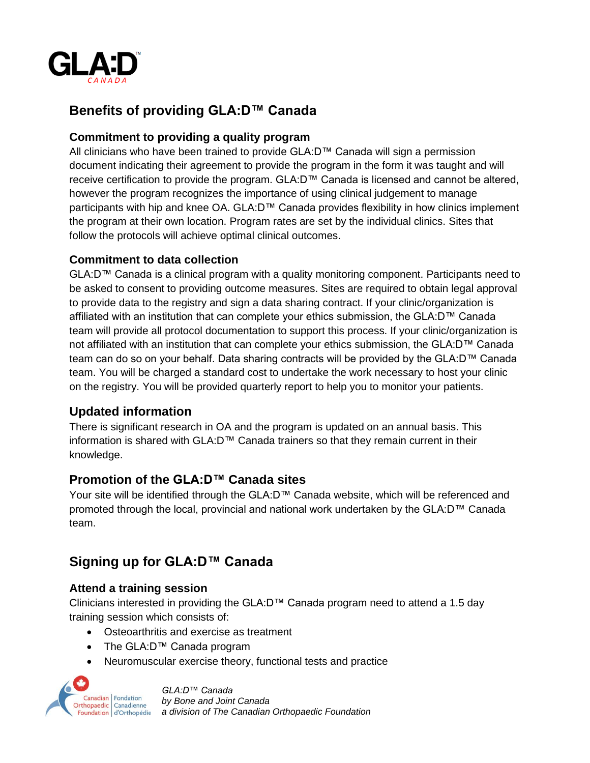

## **Benefits of providing GLA:D™ Canada**

## **Commitment to providing a quality program**

All clinicians who have been trained to provide GLA:D™ Canada will sign a permission document indicating their agreement to provide the program in the form it was taught and will receive certification to provide the program. GLA:D™ Canada is licensed and cannot be altered, however the program recognizes the importance of using clinical judgement to manage participants with hip and knee OA. GLA:D™ Canada provides flexibility in how clinics implement the program at their own location. Program rates are set by the individual clinics. Sites that follow the protocols will achieve optimal clinical outcomes.

## **Commitment to data collection**

GLA:D™ Canada is a clinical program with a quality monitoring component. Participants need to be asked to consent to providing outcome measures. Sites are required to obtain legal approval to provide data to the registry and sign a data sharing contract. If your clinic/organization is affiliated with an institution that can complete your ethics submission, the GLA:D™ Canada team will provide all protocol documentation to support this process. If your clinic/organization is not affiliated with an institution that can complete your ethics submission, the GLA:D™ Canada team can do so on your behalf. Data sharing contracts will be provided by the GLA:D™ Canada team. You will be charged a standard cost to undertake the work necessary to host your clinic on the registry. You will be provided quarterly report to help you to monitor your patients.

## **Updated information**

There is significant research in OA and the program is updated on an annual basis. This information is shared with GLA:D™ Canada trainers so that they remain current in their knowledge.

## **Promotion of the GLA:D™ Canada sites**

Your site will be identified through the GLA:D™ Canada website, which will be referenced and promoted through the local, provincial and national work undertaken by the GLA:D™ Canada team.

## **Signing up for GLA:D™ Canada**

## **Attend a training session**

Clinicians interested in providing the GLA:D™ Canada program need to attend a 1.5 day training session which consists of:

- Osteoarthritis and exercise as treatment
- The GLA:D™ Canada program
- Neuromuscular exercise theory, functional tests and practice



*GLA:D™ Canada by Bone and Joint Canada a division of The Canadian Orthopaedic Foundation*